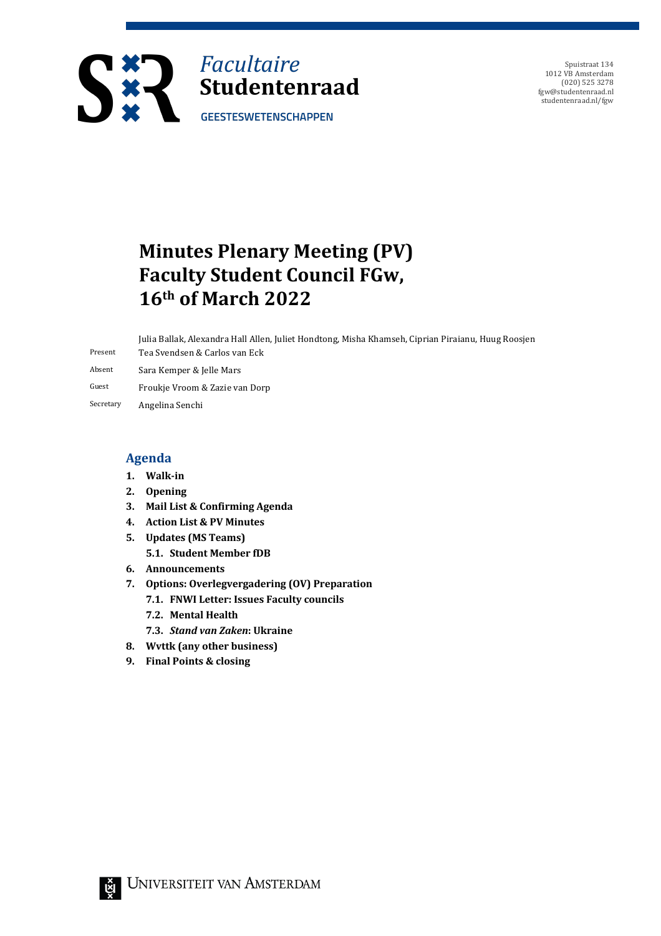

Spuistraat 134 1012 VB Amsterdam (020) 525 3278 fgw@studentenraad.nl studentenraad.nl/fgw

## **Minutes Plenary Meeting (PV) Faculty Student Council FGw, 16th of March 2022**

Present Julia Ballak, Alexandra Hall Allen, Juliet Hondtong, Misha Khamseh, Ciprian Piraianu, Huug Roosjen Tea Svendsen & Carlos van Eck

- Absent Sara Kemper & Jelle Mars
- Guest Froukje Vroom & Zazie van Dorp
- Secretary Angelina Senchi

#### **Agenda**

- **1. Walk-in**
- **2. Opening**
- **3. Mail List & Confirming Agenda**
- **4. Action List & PV Minutes**
- **5. Updates** (MS Teams)
	- **5.1. Student Member fDB**
- **6. Announcements**
- **7. Options: Overlegvergadering (OV) Preparation**
	- **7.1. FNWI Letter: Issues Faculty councils**
	- **7.2. Mental Health**
	- **7.3.** *Stand van Zaken***: Ukraine**
- **8. Wvttk (any other business)**
- **9.** Final Points & closing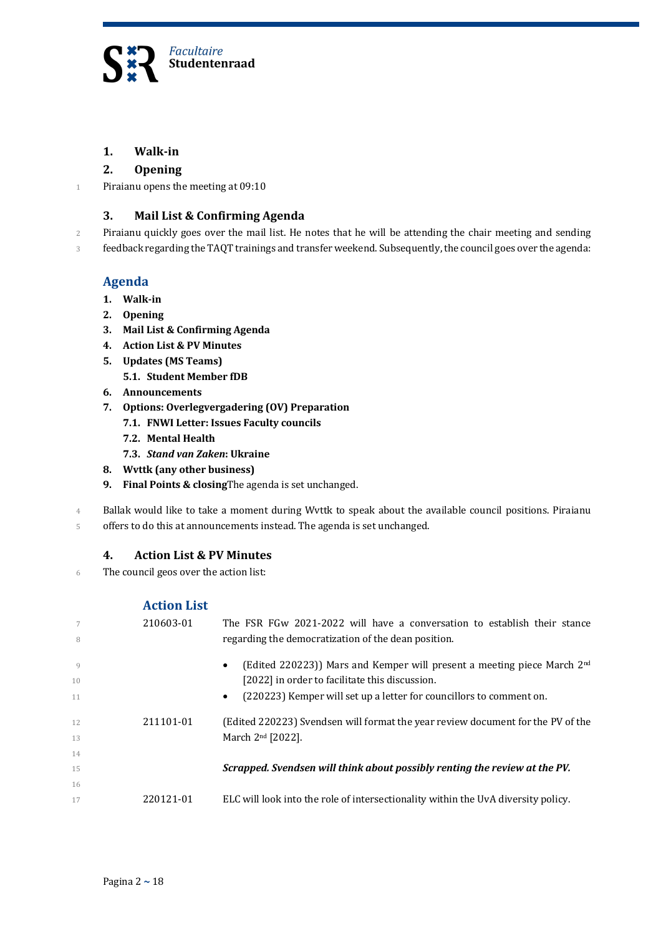

#### **1. Walk-in**

#### **2. Opening**

1 Piraianu opens the meeting at  $09:10$ 

#### **3. Mail List & Confirming Agenda**

2 Piraianu quickly goes over the mail list. He notes that he will be attending the chair meeting and sending

3 feedback regarding the TAQT trainings and transfer weekend. Subsequently, the council goes over the agenda:

#### **Agenda**

- **1. Walk-in**
- **2. Opening**
- **3. Mail List & Confirming Agenda**
- **4. Action List & PV Minutes**
- **5. Updates** (MS Teams)
	- **5.1. Student Member fDB**
- **6. Announcements**
- **7. Options: Overlegvergadering (OV) Preparation**
	- **7.1. FNWI Letter: Issues Faculty councils**
	- **7.2. Mental Health**
	- **7.3.** *Stand van Zaken***: Ukraine**
- **8. Wvttk (any other business)**
- **9.** Final Points & closing The agenda is set unchanged.

4 Ballak would like to take a moment during Wvttk to speak about the available council positions. Piraianu

5 offers to do this at announcements instead. The agenda is set unchanged.

#### **4. Action List & PV Minutes**

6 The council geos over the action list:

#### **Action List**

| $7\phantom{.0}$<br>8 | 210603-01 | The FSR FGw 2021-2022 will have a conversation to establish their stance<br>regarding the democratization of the dean position.                                                                                                        |
|----------------------|-----------|----------------------------------------------------------------------------------------------------------------------------------------------------------------------------------------------------------------------------------------|
| Q<br>10<br>11        |           | (Edited 220223)) Mars and Kemper will present a meeting piece March 2 <sup>nd</sup><br>$\bullet$<br>[2022] in order to facilitate this discussion.<br>(220223) Kemper will set up a letter for councillors to comment on.<br>$\bullet$ |
| 12<br>13             | 211101-01 | (Edited 220223) Svendsen will format the year review document for the PV of the<br>March 2 <sup>nd</sup> [2022].                                                                                                                       |
| 14<br>15             |           | Scrapped. Svendsen will think about possibly renting the review at the PV.                                                                                                                                                             |
| 16<br>17             | 220121-01 | ELC will look into the role of intersectionality within the UvA diversity policy.                                                                                                                                                      |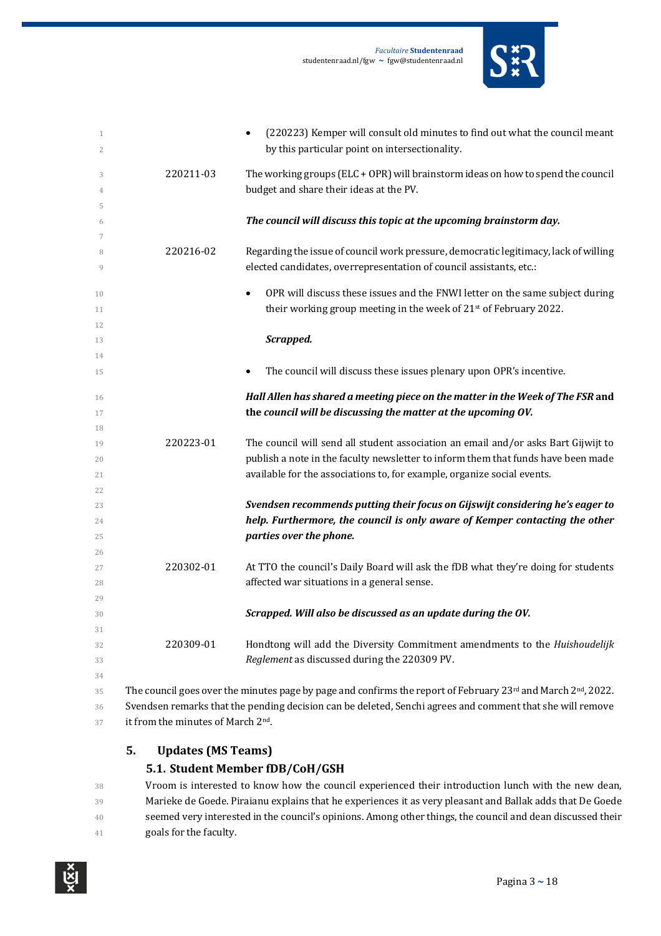

| $\mathbf{1}$<br>$\overline{c}$ |                                                | (220223) Kemper will consult old minutes to find out what the council meant<br>$\bullet$<br>by this particular point on intersectionality. |
|--------------------------------|------------------------------------------------|--------------------------------------------------------------------------------------------------------------------------------------------|
| 3                              | 220211-03                                      | The working groups (ELC + OPR) will brainstorm ideas on how to spend the council                                                           |
| 4                              |                                                | budget and share their ideas at the PV.                                                                                                    |
| 5                              |                                                |                                                                                                                                            |
| 6                              |                                                | The council will discuss this topic at the upcoming brainstorm day.                                                                        |
| 7                              |                                                |                                                                                                                                            |
| 8                              | 220216-02                                      | Regarding the issue of council work pressure, democratic legitimacy, lack of willing                                                       |
| 9                              |                                                | elected candidates, overrepresentation of council assistants, etc.:                                                                        |
| 10                             |                                                | OPR will discuss these issues and the FNWI letter on the same subject during<br>$\bullet$                                                  |
| 11                             |                                                | their working group meeting in the week of 21 <sup>st</sup> of February 2022.                                                              |
| 12                             |                                                |                                                                                                                                            |
| 13                             |                                                | Scrapped.                                                                                                                                  |
| 14                             |                                                |                                                                                                                                            |
| 15                             |                                                | The council will discuss these issues plenary upon OPR's incentive.                                                                        |
| 16                             |                                                | Hall Allen has shared a meeting piece on the matter in the Week of The FSR and                                                             |
| 17                             |                                                | the council will be discussing the matter at the upcoming OV.                                                                              |
| 18                             |                                                |                                                                                                                                            |
| 19                             | 220223-01                                      | The council will send all student association an email and/or asks Bart Gijwijt to                                                         |
| 20                             |                                                | publish a note in the faculty newsletter to inform them that funds have been made                                                          |
| 21                             |                                                | available for the associations to, for example, organize social events.                                                                    |
| 22                             |                                                |                                                                                                                                            |
| 23                             |                                                | Svendsen recommends putting their focus on Gijswijt considering he's eager to                                                              |
| 24                             |                                                | help. Furthermore, the council is only aware of Kemper contacting the other                                                                |
| 25                             |                                                | parties over the phone.                                                                                                                    |
| 26<br>27                       | 220302-01                                      | At TTO the council's Daily Board will ask the fDB what they're doing for students                                                          |
| 28                             |                                                | affected war situations in a general sense.                                                                                                |
| 29                             |                                                |                                                                                                                                            |
| 30                             |                                                | Scrapped. Will also be discussed as an update during the OV.                                                                               |
| 31                             |                                                |                                                                                                                                            |
| 32                             | 220309-01                                      | Hondtong will add the Diversity Commitment amendments to the Huishoudelijk                                                                 |
| 33                             |                                                | Reglement as discussed during the 220309 PV.                                                                                               |
| 34                             |                                                |                                                                                                                                            |
| 35                             |                                                | The council goes over the minutes page by page and confirms the report of February 23rd and March 2 <sup>nd</sup> , 2022.                  |
| 36                             |                                                | Svendsen remarks that the pending decision can be deleted, Senchi agrees and comment that she will remove                                  |
| 37                             | it from the minutes of March 2 <sup>nd</sup> . |                                                                                                                                            |

#### **5. Updates** (MS Teams)

#### **5.1. Student Member fDB/CoH/GSH**

38 Vroom is interested to know how the council experienced their introduction lunch with the new dean, 39 Marieke de Goede. Piraianu explains that he experiences it as very pleasant and Ballak adds that De Goede 40 seemed very interested in the council's opinions. Among other things, the council and dean discussed their **goals for the faculty.** 

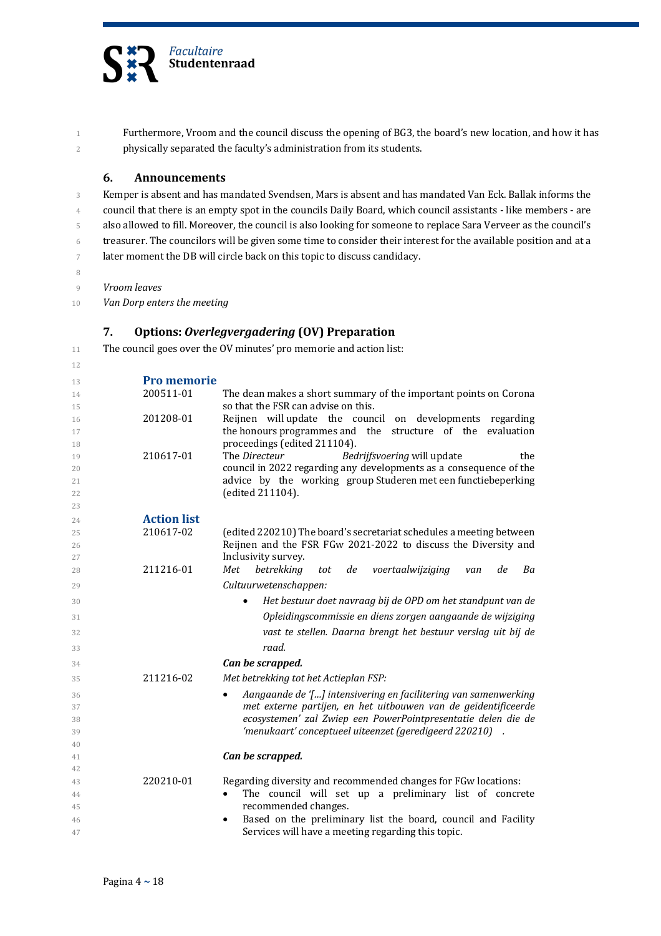

1 Furthermore, Vroom and the council discuss the opening of BG3, the board's new location, and how it has 2 physically separated the faculty's administration from its students.

#### **6. Announcements**

3 Kemper is absent and has mandated Svendsen, Mars is absent and has mandated Van Eck. Ballak informs the 4 council that there is an empty spot in the councils Daily Board, which council assistants - like members - are 5 also allowed to fill. Moreover, the council is also looking for someone to replace Sara Verveer as the council's 6 treasurer. The councilors will be given some time to consider their interest for the available position and at a 7 later moment the DB will circle back on this topic to discuss candidacy.

8

9 *Vroom leaves*

10 *Van Dorp enters the meeting* 

#### **7. Options:** *Overlegvergadering* **(OV) Preparation**

11 The council goes over the OV minutes' pro memorie and action list:

| 12       |                    |                                                                              |
|----------|--------------------|------------------------------------------------------------------------------|
| 13       | <b>Pro memorie</b> |                                                                              |
| 14       | 200511-01          | The dean makes a short summary of the important points on Corona             |
| 15       |                    | so that the FSR can advise on this.                                          |
| 16       | 201208-01          | Reijnen will update the council on developments regarding                    |
| 17       |                    | the honours programmes and the structure of the<br>evaluation                |
| 18       |                    | proceedings (edited 211104).                                                 |
| 19       | 210617-01          | The Directeur<br>Bedrijfsvoering will update<br>the                          |
| 20       |                    | council in 2022 regarding any developments as a consequence of the           |
| 21       |                    | advice by the working group Studeren met een functiebeperking                |
| 22       |                    | (edited 211104).                                                             |
| 23       |                    |                                                                              |
| 24       | <b>Action list</b> |                                                                              |
| 25       | 210617-02          | (edited 220210) The board's secretariat schedules a meeting between          |
| 26       |                    | Reijnen and the FSR FGw 2021-2022 to discuss the Diversity and               |
| 27       | 211216-01          | Inclusivity survey.<br>betrekking<br>Met<br>Ba                               |
| 28       |                    | voertaalwijziging<br>tot<br>de<br>de<br>van                                  |
| 29       |                    | Cultuurwetenschappen:                                                        |
| 30       |                    | Het bestuur doet navraag bij de OPD om het standpunt van de<br>$\bullet$     |
| 31       |                    | Opleidingscommissie en diens zorgen aangaande de wijziging                   |
| 32       |                    | vast te stellen. Daarna brengt het bestuur verslag uit bij de                |
| 33       |                    | raad.                                                                        |
| 34       |                    | Can be scrapped.                                                             |
|          |                    |                                                                              |
| 35       | 211216-02          | Met betrekking tot het Actieplan FSP:                                        |
| 36       |                    | Aangaande de '[] intensivering en facilitering van samenwerking<br>$\bullet$ |
| 37       |                    | met externe partijen, en het uitbouwen van de geïdentificeerde               |
| 38       |                    | ecosystemen' zal Zwiep een PowerPointpresentatie delen die de                |
| 39       |                    | 'menukaart' conceptueel uiteenzet (geredigeerd 220210).                      |
| 40       |                    |                                                                              |
| 41       |                    | Can be scrapped.                                                             |
| 42<br>43 | 220210-01          | Regarding diversity and recommended changes for FGw locations:               |
|          |                    | The council will set up a preliminary list of concrete<br>$\bullet$          |
| 44<br>45 |                    | recommended changes.                                                         |
| 46       |                    | Based on the preliminary list the board, council and Facility                |
| 47       |                    | Services will have a meeting regarding this topic.                           |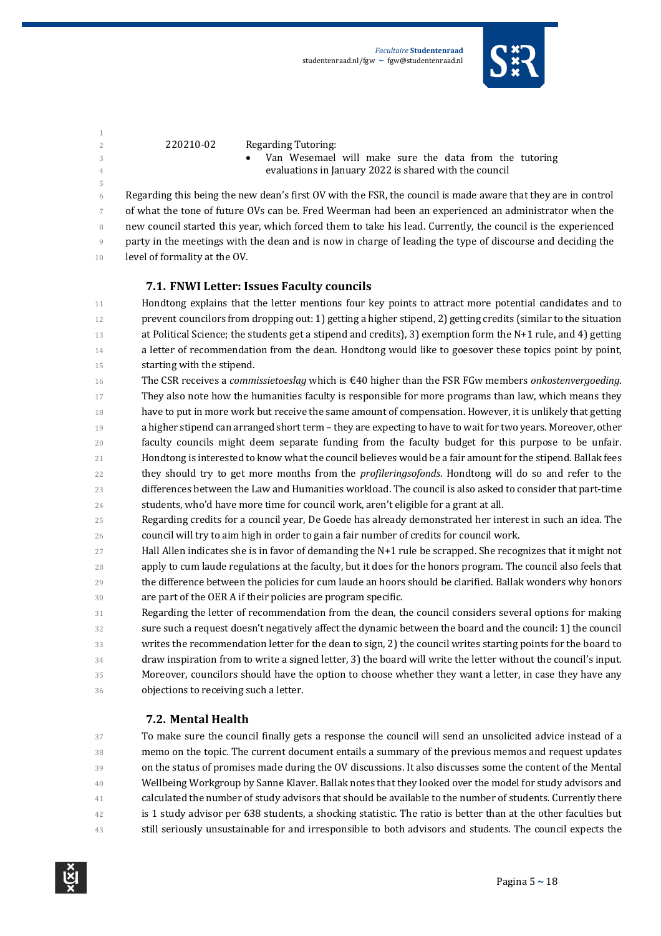

5

- $220210-02$  Regarding Tutoring:
- 3 **•** Van Wesemael will make sure the data from the tutoring <sup>4</sup> evaluations in January 2022 is shared with the council

6 Regarding this being the new dean's first  $\overline{O}V$  with the FSR, the council is made aware that they are in control of what the tone of future OVs can be. Fred Weerman had been an experienced an administrator when the 8 new council started this year, which forced them to take his lead. Currently, the council is the experienced 9 party in the meetings with the dean and is now in charge of leading the type of discourse and deciding the 10 level of formality at the OV.

#### **7.1. FNWI Letter: Issues Faculty councils**

- 11 Hondtong explains that the letter mentions four key points to attract more potential candidates and to 12 prevent councilors from dropping out: 1) getting a higher stipend, 2) getting credits (similar to the situation 13 at Political Science; the students get a stipend and credits), 3) exemption form the N+1 rule, and 4) getting 14 a letter of recommendation from the dean. Hondtong would like to goesover these topics point by point, 15 starting with the stipend.
- 16 The CSR receives a *commissietoeslag* which is €40 higher than the FSR FGw members *onkostenvergoeding*.
- 17 They also note how the humanities faculty is responsible for more programs than law, which means they 18 have to put in more work but receive the same amount of compensation. However, it is unlikely that getting
- 19 a higher stipend can arranged short term they are expecting to have to wait for two years. Moreover, other 20 faculty councils might deem separate funding from the faculty budget for this purpose to be unfair.
- 21 Hondtong is interested to know what the council believes would be a fair amount for the stipend. Ballak fees 22 they should try to get more months from the *profileringsofonds*. Hondtong will do so and refer to the 23 differences between the Law and Humanities workload. The council is also asked to consider that part-time
- 24 students, who'd have more time for council work, aren't eligible for a grant at all.
- 25 Regarding credits for a council year, De Goede has already demonstrated her interest in such an idea. The 26 council will try to aim high in order to gain a fair number of credits for council work.
- 27 Hall Allen indicates she is in favor of demanding the N+1 rule be scrapped. She recognizes that it might not 28 apply to cum laude regulations at the faculty, but it does for the honors program. The council also feels that 29 the difference between the policies for cum laude an hoors should be clarified. Ballak wonders why honors 30 are part of the OER A if their policies are program specific.
- 31 Regarding the letter of recommendation from the dean, the council considers several options for making 32 sure such a request doesn't negatively affect the dynamic between the board and the council: 1) the council 33 writes the recommendation letter for the dean to sign, 2) the council writes starting points for the board to 34 draw inspiration from to write a signed letter, 3) the board will write the letter without the council's input. 35 Moreover, councilors should have the option to choose whether they want a letter, in case they have any 36 **objections to receiving such a letter.**

#### **7.2. Mental Health**

37 To make sure the council finally gets a response the council will send an unsolicited advice instead of a 38 memo on the topic. The current document entails a summary of the previous memos and request updates 39 on the status of promises made during the OV discussions. It also discusses some the content of the Mental <sup>40</sup> Wellbeing Workgroup by Sanne Klaver. Ballak notes that they looked over the model for study advisors and <sup>41</sup> calculated the number of study advisors that should be available to the number of students. Currently there 42 is 1 study advisor per 638 students, a shocking statistic. The ratio is better than at the other faculties but 43 still seriously unsustainable for and irresponsible to both advisors and students. The council expects the

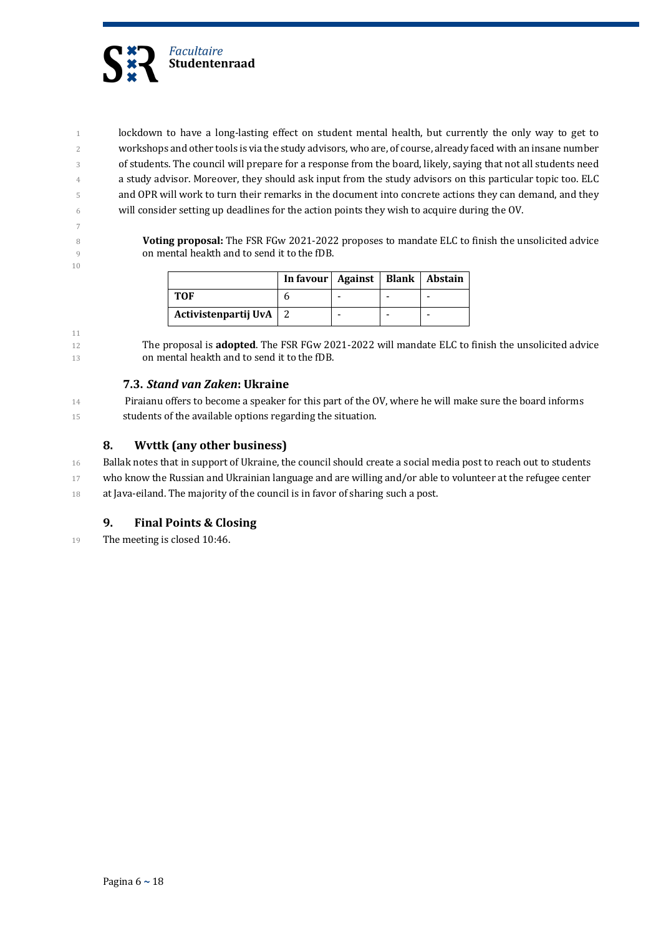

10

1 lockdown to have a long-lasting effect on student mental health, but currently the only way to get to 2 workshops and other tools is via the study advisors, who are, of course, already faced with an insane number 3 of students. The council will prepare for a response from the board, likely, saying that not all students need 4 a study advisor. Moreover, they should ask input from the study advisors on this particular topic too. ELC 5 and OPR will work to turn their remarks in the document into concrete actions they can demand, and they 6 will consider setting up deadlines for the action points they wish to acquire during the OV.

8 **Voting proposal:** The FSR FGw 2021-2022 proposes to mandate ELC to finish the unsolicited advice 9 on mental heakth and to send it to the fDB.

|                      | In favour   Against   Blank   Abstain |  |  |
|----------------------|---------------------------------------|--|--|
| <b>TOF</b>           |                                       |  |  |
| Activistenpartij UvA |                                       |  |  |

11 12 The proposal is **adopted**. The FSR FGw 2021-2022 will mandate ELC to finish the unsolicited advice 13 on mental heakth and to send it to the fDB.

#### **7.3.** *Stand van Zaken***: Ukraine**

14 Piraianu offers to become a speaker for this part of the OV, where he will make sure the board informs 15 students of the available options regarding the situation.

#### **8. Wvttk (any other business)**

16 Ballak notes that in support of Ukraine, the council should create a social media post to reach out to students 17 who know the Russian and Ukrainian language and are willing and/or able to volunteer at the refugee center 18 at Java-eiland. The majority of the council is in favor of sharing such a post.

#### **9.** Final Points & Closing

19 The meeting is closed 10:46.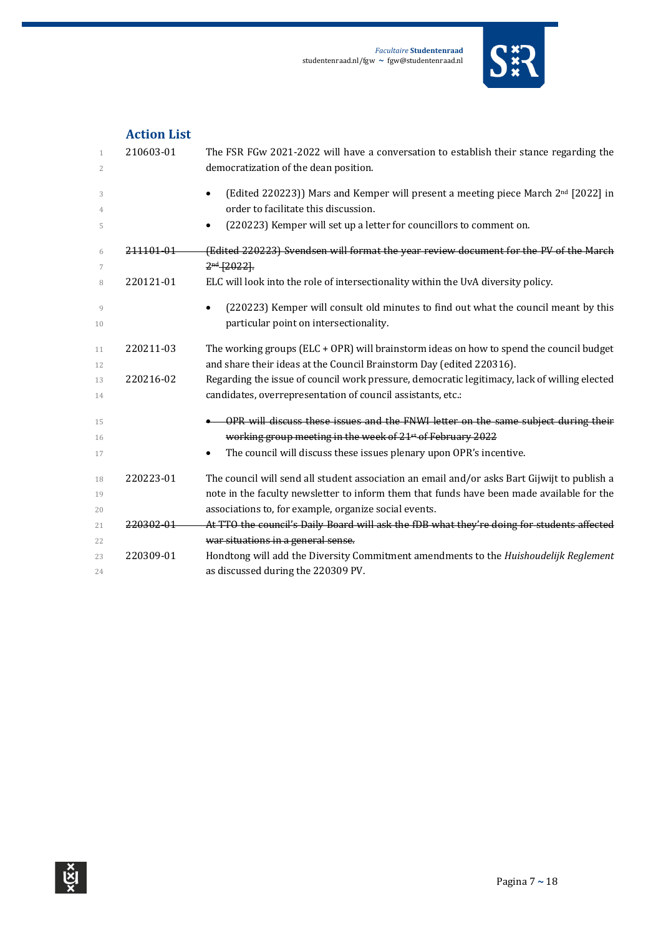

|              | <b>Action List</b> |                                                                                                    |
|--------------|--------------------|----------------------------------------------------------------------------------------------------|
| $\mathbf{1}$ | 210603-01          | The FSR FGw 2021-2022 will have a conversation to establish their stance regarding the             |
| 2            |                    | democratization of the dean position.                                                              |
| 3            |                    | (Edited 220223)) Mars and Kemper will present a meeting piece March 2 <sup>nd</sup> [2022] in<br>٠ |
| 4            |                    | order to facilitate this discussion.                                                               |
| 5            |                    | (220223) Kemper will set up a letter for councillors to comment on.<br>$\bullet$                   |
| 6            | 211101-01          | (Edited 220223) Svendsen will format the year review document for the PV of the March              |
| 7            |                    | $2nd$ [2022].                                                                                      |
| 8            | 220121-01          | ELC will look into the role of intersectionality within the UvA diversity policy.                  |
| 9            |                    | (220223) Kemper will consult old minutes to find out what the council meant by this<br>$\bullet$   |
| 10           |                    | particular point on intersectionality.                                                             |
| 11           | 220211-03          | The working groups (ELC + OPR) will brainstorm ideas on how to spend the council budget            |
| 12           |                    | and share their ideas at the Council Brainstorm Day (edited 220316).                               |
| 13           | 220216-02          | Regarding the issue of council work pressure, democratic legitimacy, lack of willing elected       |
| 14           |                    | candidates, overrepresentation of council assistants, etc.:                                        |
| 15           |                    | OPR will discuss these issues and the FNWI letter on the same subject during their                 |
| 16           |                    | working group meeting in the week of 21 <sup>st</sup> of February 2022                             |
| 17           |                    | The council will discuss these issues plenary upon OPR's incentive.<br>٠                           |
| 18           | 220223-01          | The council will send all student association an email and/or asks Bart Gijwijt to publish a       |
| 19           |                    | note in the faculty newsletter to inform them that funds have been made available for the          |
| 20           |                    | associations to, for example, organize social events.                                              |
| 21           | 220302-01          | At TTO the council's Daily Board will ask the fDB what they're doing for students affected         |
| 22           |                    | war situations in a general sense.                                                                 |
| 23           | 220309-01          | Hondtong will add the Diversity Commitment amendments to the Huishoudelijk Reglement               |
| 24           |                    | as discussed during the 220309 PV.                                                                 |

### **Action List**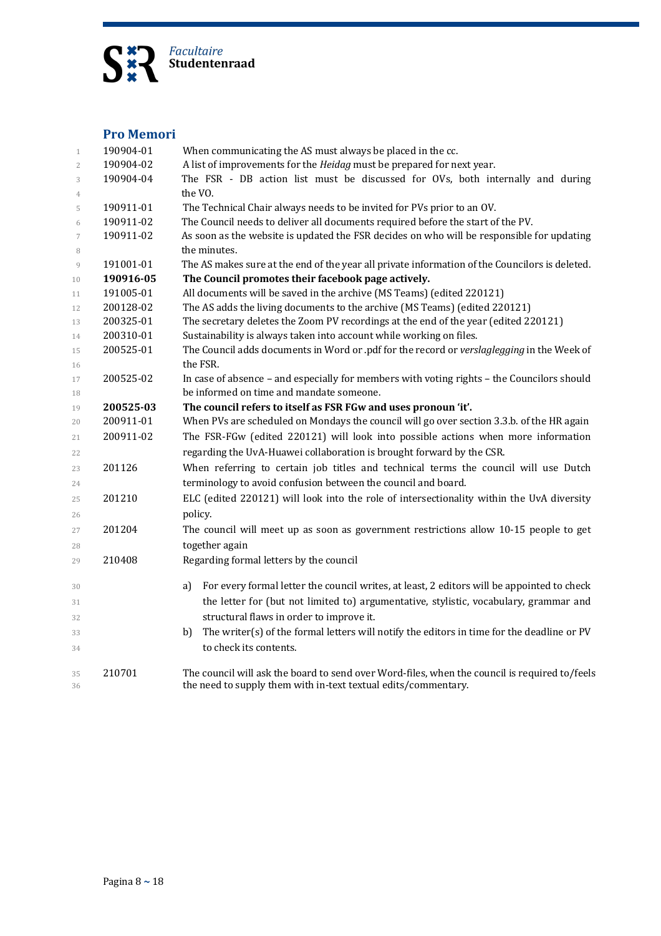

#### **Pro Memori**

| $\mathbf{1}$               | 190904-01 | When communicating the AS must always be placed in the cc.                                                |
|----------------------------|-----------|-----------------------------------------------------------------------------------------------------------|
| $\overline{2}$             | 190904-02 | A list of improvements for the Heidag must be prepared for next year.                                     |
| 3                          | 190904-04 | The FSR - DB action list must be discussed for OVs, both internally and during                            |
| $\overline{4}$             |           | the VO.                                                                                                   |
| 5                          | 190911-01 | The Technical Chair always needs to be invited for PVs prior to an OV.                                    |
| 6                          | 190911-02 | The Council needs to deliver all documents required before the start of the PV.                           |
| $\boldsymbol{7}$<br>$\, 8$ | 190911-02 | As soon as the website is updated the FSR decides on who will be responsible for updating<br>the minutes. |
| 9                          | 191001-01 | The AS makes sure at the end of the year all private information of the Councilors is deleted.            |
| 10                         | 190916-05 | The Council promotes their facebook page actively.                                                        |
| 11                         | 191005-01 | All documents will be saved in the archive (MS Teams) (edited 220121)                                     |
| 12                         | 200128-02 | The AS adds the living documents to the archive (MS Teams) (edited 220121)                                |
| 13                         | 200325-01 | The secretary deletes the Zoom PV recordings at the end of the year (edited 220121)                       |
| 14                         | 200310-01 | Sustainability is always taken into account while working on files.                                       |
| 15                         | 200525-01 | The Council adds documents in Word or .pdf for the record or verslaglegging in the Week of                |
| 16                         |           | the FSR.                                                                                                  |
| 17                         | 200525-02 | In case of absence - and especially for members with voting rights - the Councilors should                |
| 18                         |           | be informed on time and mandate someone.                                                                  |
| 19                         | 200525-03 | The council refers to itself as FSR FGw and uses pronoun 'it'.                                            |
| 20                         | 200911-01 | When PVs are scheduled on Mondays the council will go over section 3.3.b. of the HR again                 |
| 21                         | 200911-02 | The FSR-FGw (edited 220121) will look into possible actions when more information                         |
| 22                         |           | regarding the UvA-Huawei collaboration is brought forward by the CSR.                                     |
| 23                         | 201126    | When referring to certain job titles and technical terms the council will use Dutch                       |
| 24                         |           | terminology to avoid confusion between the council and board.                                             |
| 25                         | 201210    | ELC (edited 220121) will look into the role of intersectionality within the UvA diversity                 |
| 26                         |           | policy.                                                                                                   |
| 27                         | 201204    | The council will meet up as soon as government restrictions allow 10-15 people to get                     |
| 28                         |           | together again                                                                                            |
| 29                         | 210408    | Regarding formal letters by the council                                                                   |
|                            |           |                                                                                                           |
| 30                         |           | For every formal letter the council writes, at least, 2 editors will be appointed to check<br>a)          |
| 31                         |           | the letter for (but not limited to) argumentative, stylistic, vocabulary, grammar and                     |
| 32                         |           | structural flaws in order to improve it.                                                                  |
| 33                         |           | The writer(s) of the formal letters will notify the editors in time for the deadline or PV<br>b)          |
| 34                         |           | to check its contents.                                                                                    |
|                            |           |                                                                                                           |
| 35                         | 210701    | The council will ask the board to send over Word-files, when the council is required to/feels             |
| 36                         |           | the need to supply them with in-text textual edits/commentary.                                            |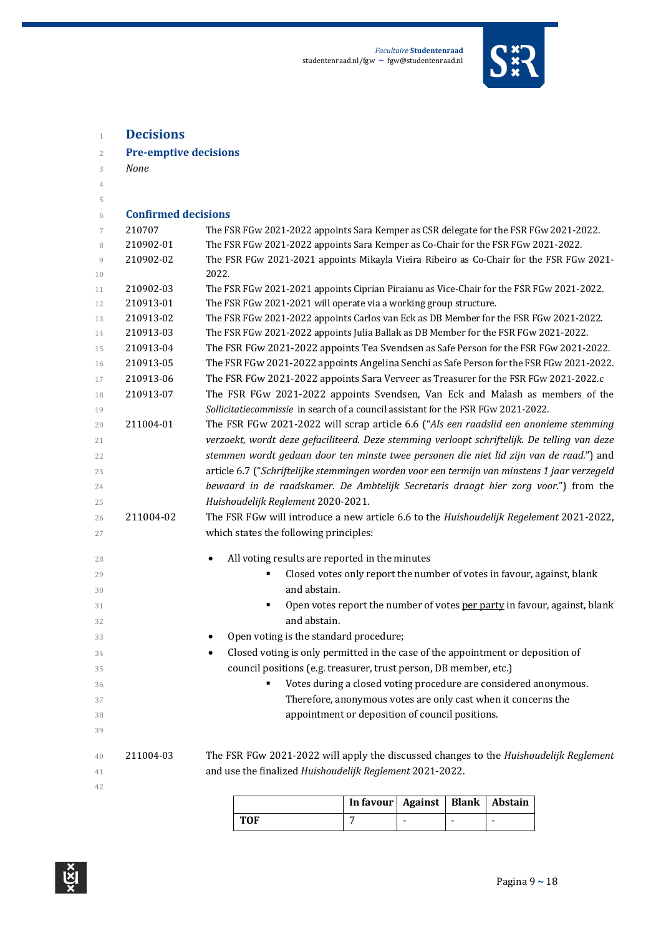

| $\overline{2}$ | <b>Pre-emptive decisions</b> |                                                                                                                                   |
|----------------|------------------------------|-----------------------------------------------------------------------------------------------------------------------------------|
| 3              | <b>None</b>                  |                                                                                                                                   |
| 4              |                              |                                                                                                                                   |
| 5              |                              |                                                                                                                                   |
| 6              | <b>Confirmed decisions</b>   |                                                                                                                                   |
| 7              | 210707                       | The FSR FGw 2021-2022 appoints Sara Kemper as CSR delegate for the FSR FGw 2021-2022.                                             |
| 8              | 210902-01                    | The FSR FGw 2021-2022 appoints Sara Kemper as Co-Chair for the FSR FGw 2021-2022.                                                 |
| 9<br>10        | 210902-02                    | The FSR FGw 2021-2021 appoints Mikayla Vieira Ribeiro as Co-Chair for the FSR FGw 2021-<br>2022.                                  |
| 11             | 210902-03                    | The FSR FGw 2021-2021 appoints Ciprian Piraianu as Vice-Chair for the FSR FGw 2021-2022.                                          |
| 12             | 210913-01                    | The FSR FGw 2021-2021 will operate via a working group structure.                                                                 |
| 13             | 210913-02                    | The FSR FGw 2021-2022 appoints Carlos van Eck as DB Member for the FSR FGw 2021-2022.                                             |
| 14             | 210913-03                    | The FSR FGw 2021-2022 appoints Julia Ballak as DB Member for the FSR FGw 2021-2022.                                               |
| 15             | 210913-04                    | The FSR FGw 2021-2022 appoints Tea Svendsen as Safe Person for the FSR FGw 2021-2022.                                             |
| 16             | 210913-05                    | The FSR FGw 2021-2022 appoints Angelina Senchi as Safe Person for the FSR FGw 2021-2022.                                          |
| 17             | 210913-06                    | The FSR FGw 2021-2022 appoints Sara Verveer as Treasurer for the FSR FGw 2021-2022.c                                              |
| 18             | 210913-07                    | The FSR FGw 2021-2022 appoints Svendsen, Van Eck and Malash as members of the                                                     |
| 19             |                              | Sollicitatiecommissie in search of a council assistant for the FSR FGw 2021-2022.                                                 |
| 20             | 211004-01                    | The FSR FGw 2021-2022 will scrap article 6.6 ("Als een raadslid een anonieme stemming                                             |
| 21             |                              | verzoekt, wordt deze gefaciliteerd. Deze stemming verloopt schriftelijk. De telling van deze                                      |
| 22             |                              | stemmen wordt gedaan door ten minste twee personen die niet lid zijn van de raad.") and                                           |
| 23             |                              | article 6.7 ("Schriftelijke stemmingen worden voor een termijn van minstens 1 jaar verzegeld                                      |
| 24             |                              | bewaard in de raadskamer. De Ambtelijk Secretaris draagt hier zorg voor.") from the                                               |
| 25             |                              | Huishoudelijk Reglement 2020-2021.                                                                                                |
| 26             | 211004-02                    | The FSR FGw will introduce a new article 6.6 to the Huishoudelijk Regelement 2021-2022,                                           |
| 27             |                              | which states the following principles:                                                                                            |
| 28             |                              | All voting results are reported in the minutes<br>$\bullet$                                                                       |
| 29             |                              | Closed votes only report the number of votes in favour, against, blank                                                            |
| 30             |                              | and abstain.                                                                                                                      |
| 31             |                              | Open votes report the number of votes per party in favour, against, blank<br>٠                                                    |
| 32             |                              | and abstain.                                                                                                                      |
| 33             |                              | Open voting is the standard procedure;<br>٠                                                                                       |
|                |                              | Closed voting is only permitted in the case of the appointment or deposition of                                                   |
| 34             |                              | council positions (e.g. treasurer, trust person, DB member, etc.)                                                                 |
| 35             |                              |                                                                                                                                   |
| 36             |                              | Votes during a closed voting procedure are considered anonymous.<br>Therefore, anonymous votes are only cast when it concerns the |
| 37             |                              |                                                                                                                                   |
| 38             |                              | appointment or deposition of council positions.                                                                                   |
| 39             |                              |                                                                                                                                   |
| 40             | 211004-03                    | The FSR FGw 2021-2022 will apply the discussed changes to the Huishoudelijk Reglement                                             |
| 41             |                              | and use the finalized Huishoudelijk Reglement 2021-2022.                                                                          |
| 42             |                              |                                                                                                                                   |
|                |                              |                                                                                                                                   |

|     | In favour   Against   Blank   Abstain |  |  |
|-----|---------------------------------------|--|--|
| TOF |                                       |  |  |



**Decisions**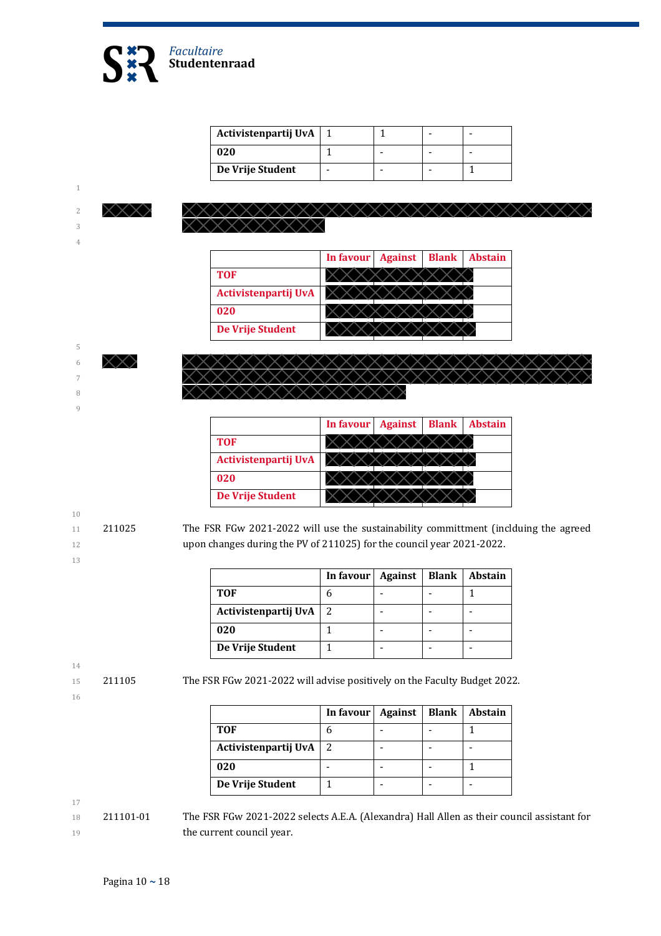

| Activistenpartij UvA |  |  |
|----------------------|--|--|
| 020                  |  |  |
| De Vrije Student     |  |  |

1

3 4

|                      | In favour Against | <b>Blank</b> | <b>Abstain</b> |
|----------------------|-------------------|--------------|----------------|
| <b>TOF</b>           |                   |              |                |
| Activistenpartij UvA |                   |              |                |
| 020                  |                   |              |                |
| De Vrije Student     |                   |              |                |



8

9

|                      | In favour Against | <b>Blank</b> | <b>Abstain</b> |
|----------------------|-------------------|--------------|----------------|
| <b>TOF</b>           |                   |              |                |
| Activistenpartij UvA |                   |              |                |
| 020                  |                   |              |                |
| De Vrije Student     |                   |              |                |

- 10
- 
- 

13

14

16

11 211025 The FSR FGw 2021-2022 will use the sustainability committment (inclduing the agreed 12 upon changes during the PV of 211025) for the council year 2021-2022.

|                      | In favour   Against |  | <b>Blank</b>   Abstain |
|----------------------|---------------------|--|------------------------|
| <b>TOF</b>           |                     |  |                        |
| Activistenpartij UvA | 2                   |  |                        |
| 020                  |                     |  |                        |
| De Vrije Student     |                     |  |                        |

15 211105 The FSR FGw 2021-2022 will advise positively on the Faculty Budget 2022.

**In favour Against Blank Abstain TOF** 6 - 1 **Activistenpartij** UvA 2 - - - - -**020** - - - 1 **De Vrije Student** 1 - - -

17

18 211101-01 The FSR FGw 2021-2022 selects A.E.A. (Alexandra) Hall Allen as their council assistant for 19 **the current council year.**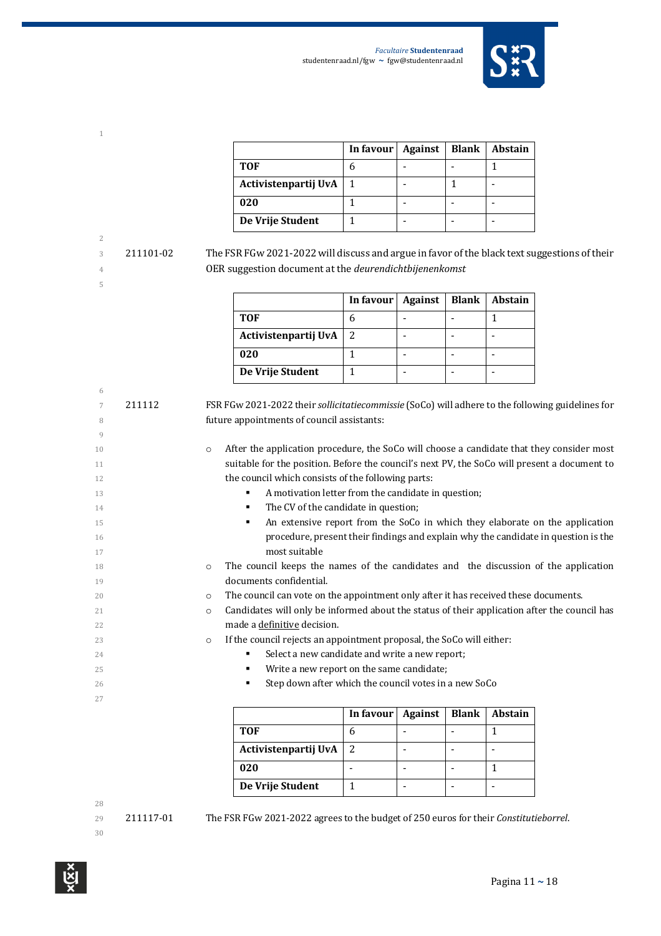

|                      | In favour $\vert$ | <b>Against</b> | <b>Blank</b> | <b>Abstain</b> |
|----------------------|-------------------|----------------|--------------|----------------|
| <b>TOF</b>           |                   |                |              |                |
| Activistenpartij UvA | $\mathbf{1}$      |                |              |                |
| 020                  |                   |                |              |                |
| De Vrije Student     |                   |                |              |                |

3 211101-02 The FSR FGw 2021-2022 will discuss and argue in favor of the black text suggestions of their OER suggestion document at the *deurendichtbijenenkomst*

|                      | In favour $\vert$ | Against | Blank | <b>Abstain</b> |
|----------------------|-------------------|---------|-------|----------------|
| <b>TOF</b>           |                   |         |       |                |
| Activistenpartij UvA |                   |         |       |                |
| 020                  |                   |         |       |                |
| De Vrije Student     |                   |         |       |                |

| 6  |        |                                                                                                         |  |  |  |  |
|----|--------|---------------------------------------------------------------------------------------------------------|--|--|--|--|
| 7  | 211112 | FSR FGw 2021-2022 their sollicitatiecommissie (SoCo) will adhere to the following guidelines for        |  |  |  |  |
| 8  |        | future appointments of council assistants:                                                              |  |  |  |  |
| 9  |        |                                                                                                         |  |  |  |  |
| 10 |        | After the application procedure, the SoCo will choose a candidate that they consider most<br>$\circ$    |  |  |  |  |
| 11 |        | suitable for the position. Before the council's next PV, the SoCo will present a document to            |  |  |  |  |
| 12 |        | the council which consists of the following parts:                                                      |  |  |  |  |
| 13 |        | A motivation letter from the candidate in question;                                                     |  |  |  |  |
| 14 |        | The CV of the candidate in question;<br>٠                                                               |  |  |  |  |
| 15 |        | An extensive report from the SoCo in which they elaborate on the application<br>٠                       |  |  |  |  |
| 16 |        | procedure, present their findings and explain why the candidate in question is the                      |  |  |  |  |
| 17 |        | most suitable                                                                                           |  |  |  |  |
| 18 |        | The council keeps the names of the candidates and the discussion of the application<br>$\circ$          |  |  |  |  |
| 19 |        | documents confidential.                                                                                 |  |  |  |  |
| 20 |        | The council can vote on the appointment only after it has received these documents.<br>$\circ$          |  |  |  |  |
| 21 |        | Candidates will only be informed about the status of their application after the council has<br>$\circ$ |  |  |  |  |
| 22 |        | made a definitive decision.                                                                             |  |  |  |  |
| 23 |        | If the council rejects an appointment proposal, the SoCo will either:<br>$\circ$                        |  |  |  |  |
| 24 |        | Select a new candidate and write a new report;                                                          |  |  |  |  |
| 25 |        | Write a new report on the same candidate;<br>٠                                                          |  |  |  |  |
| 26 |        | Step down after which the council votes in a new SoCo                                                   |  |  |  |  |
| 27 |        |                                                                                                         |  |  |  |  |
|    |        | In favour<br><b>Blank</b><br><b>Abstain</b><br><b>Against</b>                                           |  |  |  |  |

|                      | In favour   Against | Blank | <b>Abstain</b> |
|----------------------|---------------------|-------|----------------|
| <b>TOF</b>           |                     |       |                |
| Activistenpartij UvA | 2                   |       |                |
| 020                  |                     |       |                |
| De Vrije Student     |                     |       |                |

29 211117-01 The FSR FGw 2021-2022 agrees to the budget of 250 euros for their *Constitutieborrel*.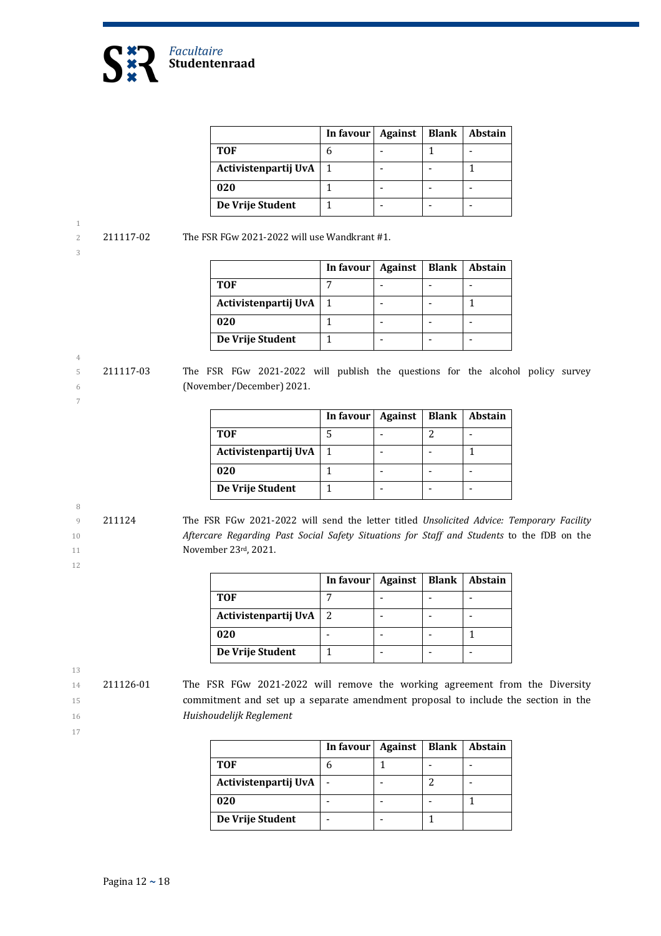

|                      | In favour | Against | Blank | Abstain |
|----------------------|-----------|---------|-------|---------|
| <b>TOF</b>           |           |         |       |         |
| Activistenpartij UvA |           |         |       |         |
| 020                  |           |         |       |         |
| De Vrije Student     |           |         |       |         |

3

4

7

2 211117-02 The FSR FGw 2021-2022 will use Wandkrant  $#1$ .

|                      | In favour   Against | <b>Blank   Abstain</b> |
|----------------------|---------------------|------------------------|
| <b>TOF</b>           |                     |                        |
| Activistenpartij UvA |                     |                        |
| 020                  |                     |                        |
| De Vrije Student     |                     |                        |

5 211117-03 The FSR FGw 2021-2022 will publish the questions for the alcohol policy survey 6 (November/December) 2021.

|                      | In favour   Against | Blank | Abstain |
|----------------------|---------------------|-------|---------|
| <b>TOF</b>           |                     |       |         |
| Activistenpartij UvA |                     |       |         |
| 020                  |                     |       |         |
| De Vrije Student     |                     |       |         |

8

12

9 211124 The FSR FGw 2021-2022 will send the letter titled *Unsolicited Advice: Temporary Facility* 10 **Aftercare Regarding Past Social Safety Situations for Staff and Students to the fDB on the** 11 **November 23rd, 2021.** 

|                          | In favour | <b>Against</b> | <b>Blank</b> | <b>Abstain</b> |
|--------------------------|-----------|----------------|--------------|----------------|
| TOF                      |           |                |              |                |
| Activistenpartij UvA   2 |           |                |              |                |
| 020                      |           |                |              |                |
| De Vrije Student         |           |                |              |                |

13

17

14 211126-01 The FSR FGw 2021-2022 will remove the working agreement from the Diversity 15 commitment and set up a separate amendment proposal to include the section in the 16 *Huishoudelijk Reglement*

|                      | In favour | Against | <b>Blank</b> | <b>Abstain</b> |
|----------------------|-----------|---------|--------------|----------------|
| TOF                  |           |         |              |                |
| Activistenpartij UvA |           |         |              |                |
| 020                  |           |         |              |                |
| De Vrije Student     |           |         |              |                |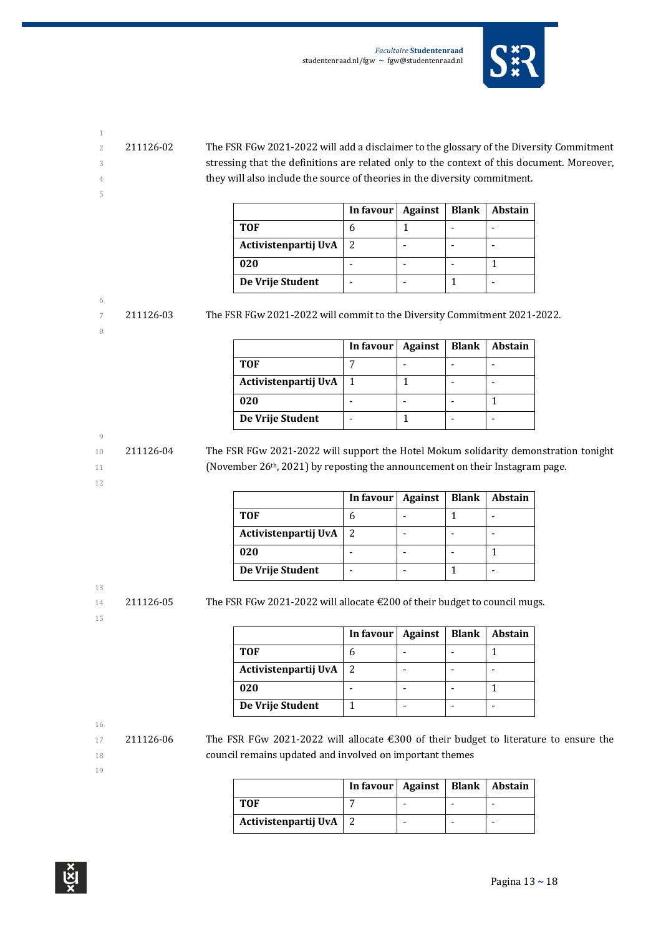

- 
- 5
- 2 211126-02 The FSR FGw 2021-2022 will add a disclaimer to the glossary of the Diversity Commitment 3 stressing that the definitions are related only to the context of this document. Moreover, 4 they will also include the source of theories in the diversity commitment.

|                      | In favour $\vert$ | Against | <b>Blank</b> | <b>Abstain</b> |
|----------------------|-------------------|---------|--------------|----------------|
| <b>TOF</b>           |                   |         |              |                |
| Activistenpartij UvA | 2                 |         |              |                |
| 020                  |                   |         |              |                |
| De Vrije Student     |                   |         |              |                |

#### 6

8

7 211126-03 The FSR FGw 2021-2022 will commit to the Diversity Commitment 2021-2022.

|                      | In favour   Against | <b>Blank</b> | <b>Abstain</b> |
|----------------------|---------------------|--------------|----------------|
| <b>TOF</b>           |                     |              |                |
| Activistenpartij UvA |                     |              |                |
| 020                  |                     |              |                |
| De Vrije Student     |                     |              |                |

#### 9

12

10 211126-04 The FSR FGw 2021-2022 will support the Hotel Mokum solidarity demonstration tonight 11 (November 26<sup>th</sup>, 2021) by reposting the announcement on their Instagram page.

|                      | In favour   Against | <b>Blank</b> | Abstain |
|----------------------|---------------------|--------------|---------|
| <b>TOF</b>           |                     |              |         |
| Activistenpartij UvA | 2                   |              |         |
| 020                  |                     |              |         |
| De Vrije Student     |                     |              |         |

13

14 211126-05 The FSR FGw 2021-2022 will allocate  $\epsilon$ 200 of their budget to council mugs.

| I | ۰ |  |
|---|---|--|
|   | ٩ |  |

**In favour** | Against | Blank | Abstain **TOF** 6 - 1 **Activistenpartij UvA** 2 - - - **020** - 1 - 1 1 **De Vrije Student** | 1 | - | - | -

### 16

17 211126-06 The FSR FGw 2021-2022 will allocate  $\epsilon$ 300 of their budget to literature to ensure the 18 council remains updated and involved on important themes

|                          | In favour   Against   Blank   Abstain |  |  |
|--------------------------|---------------------------------------|--|--|
| TOF                      |                                       |  |  |
| Activistenpartij UvA   2 |                                       |  |  |

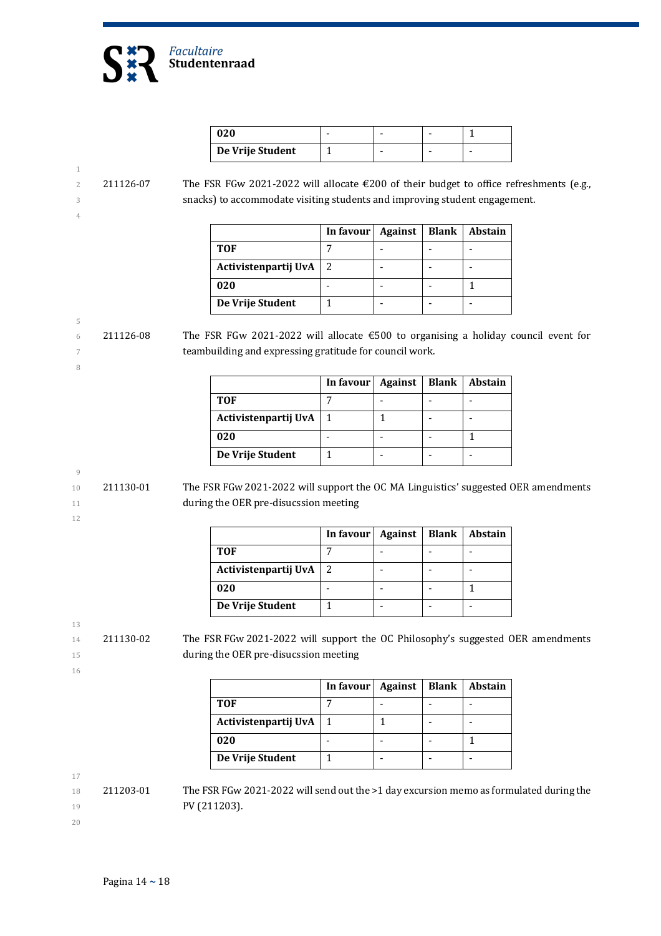

| 020              |  |  |
|------------------|--|--|
| De Vrije Student |  |  |

### 2 211126-07 The FSR FGw 2021-2022 will allocate €200 of their budget to office refreshments (e.g., 3 snacks) to accommodate visiting students and improving student engagement.

|                      | In favour   Against | Blank | Abstain |
|----------------------|---------------------|-------|---------|
| TOF                  |                     |       |         |
| Activistenpartij UvA |                     |       |         |
| 020                  |                     |       |         |
| De Vrije Student     |                     |       |         |

#### 5 6 211126-08 The FSR FGw 2021-2022 will allocate  $\epsilon$ 500 to organising a holiday council event for 7 teambuilding and expressing gratitude for council work.

|                      | In favour | Against | <b>Blank</b> | Abstain |
|----------------------|-----------|---------|--------------|---------|
| TOF                  |           |         |              |         |
| Activistenpartij UvA |           |         |              |         |
| 020                  |           |         |              |         |
| De Vrije Student     |           |         |              |         |

#### 9

8

1

4

10 211130-01 The FSR FGw 2021-2022 will support the OC MA Linguistics' suggested OER amendments 11 during the OER pre-disucssion meeting

12

|                          | In favour | Against | Blank   Abstain |
|--------------------------|-----------|---------|-----------------|
| TOF                      |           |         |                 |
| Activistenpartij UvA   2 |           |         |                 |
| 020                      |           |         |                 |
| De Vrije Student         |           |         |                 |

13

14 211130-02 The FSR FGw 2021-2022 will support the OC Philosophy's suggested OER amendments 15 during the OER pre-disucssion meeting

16

|                      | In favour | Against | <b>Blank</b> | Abstain |
|----------------------|-----------|---------|--------------|---------|
| <b>TOF</b>           |           |         |              |         |
| Activistenpartij UvA |           |         |              |         |
| 020                  |           |         |              |         |
| De Vrije Student     |           |         |              |         |

17

18 211203-01 The FSR FGw 2021-2022 will send out the >1 day excursion memo as formulated during the 19 **PV** (211203).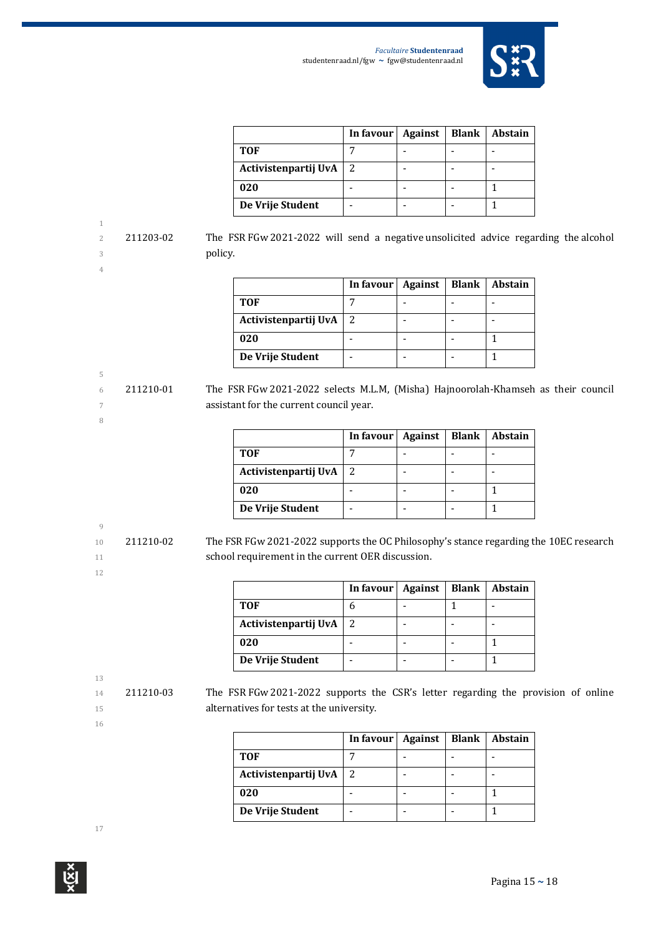

|                      | In favour   Against | Blank | Abstain |
|----------------------|---------------------|-------|---------|
| <b>TOF</b>           |                     |       |         |
| Activistenpartij UvA | 2                   |       |         |
| 020                  |                     |       |         |
| De Vrije Student     |                     |       |         |

2 211203-02 The FSR FGw 2021-2022 will send a negative unsolicited advice regarding the alcohol 3 policy.

5

8

|                      | In favour | Against | Blank | Abstain |
|----------------------|-----------|---------|-------|---------|
| <b>TOF</b>           |           |         |       |         |
| Activistenpartij UvA | 2         |         |       |         |
| 020                  |           |         |       |         |
| De Vrije Student     |           |         |       |         |

6 211210-01 The FSR FGw 2021-2022 selects M.L.M, (Misha) Hajnoorolah-Khamseh as their council 7 **assistant for the current council year.** 

|                          | In favour   Against | <b>Blank</b> | Abstain |
|--------------------------|---------------------|--------------|---------|
| TOF                      |                     |              |         |
| Activistenpartij UvA   2 |                     |              |         |
| 020                      |                     |              |         |
| De Vrije Student         |                     |              |         |

# 9

10 211210-02 The FSR FGw 2021-2022 supports the OC Philosophy's stance regarding the 10EC research 11 school requirement in the current OER discussion.

|                      | In favour | Against | <b>Blank</b> | <b>Abstain</b> |
|----------------------|-----------|---------|--------------|----------------|
| TOF                  |           |         |              |                |
| Activistenpartij UvA |           |         |              |                |
| 020                  |           |         |              |                |
| De Vrije Student     |           |         |              |                |

13

12

16

14 211210-03 The FSR FGw 2021-2022 supports the CSR's letter regarding the provision of online 15 **alternatives for tests at the university.** 

|                      | In favour   Against | <b>Blank</b> | <b>Abstain</b> |
|----------------------|---------------------|--------------|----------------|
| <b>TOF</b>           |                     |              |                |
| Activistenpartij UvA | 2                   |              |                |
| 020                  |                     |              |                |
| De Vrije Student     |                     |              |                |

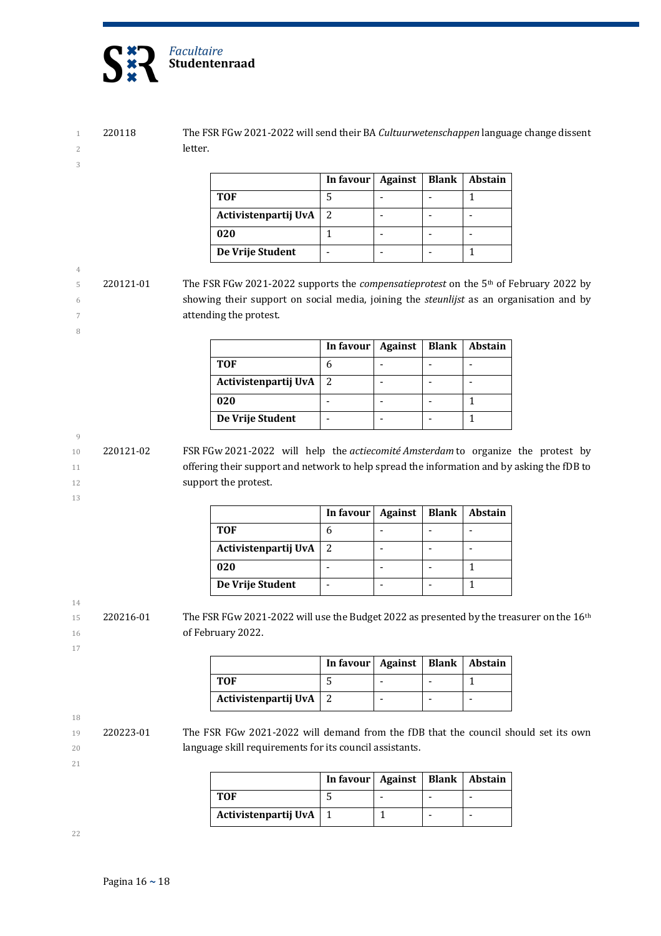

4

8

9

13

14

17

18

21

1 220118 The FSR FGw 2021-2022 will send their BA *Cultuurwetenschappen* language change dissent 2 letter.

|                      | In favour | Against | <b>Blank</b> | <b>Abstain</b> |
|----------------------|-----------|---------|--------------|----------------|
| TOF                  |           |         |              |                |
| Activistenpartij UvA | 2         |         |              |                |
| 020                  |           |         |              |                |
| De Vrije Student     |           |         |              |                |

5 220121-01 The FSR FGw 2021-2022 supports the *compensatieprotest* on the 5<sup>th</sup> of February 2022 by 6 showing their support on social media, joining the *steunlijst* as an organisation and by 7 **attending the protest.** 

|                      | In favour | Against | <b>Blank</b> | <b>Abstain</b> |
|----------------------|-----------|---------|--------------|----------------|
| <b>TOF</b>           |           |         |              |                |
| Activistenpartij UvA | 2         |         |              |                |
| 020                  |           |         |              |                |
| De Vrije Student     |           |         |              |                |

10 220121-02 FSR FGw 2021-2022 will help the *actiecomité Amsterdam* to organize the protest by 11 offering their support and network to help spread the information and by asking the fDB to 12 **support the protest.** 

|                          | In favour   Against |  | <b>Blank</b>   Abstain |
|--------------------------|---------------------|--|------------------------|
| <b>TOF</b>               |                     |  |                        |
| Activistenpartij UvA   2 |                     |  |                        |
| 020                      |                     |  |                        |
| De Vrije Student         |                     |  |                        |

15 220216-01 The FSR FGw 2021-2022 will use the Budget 2022 as presented by the treasurer on the 16<sup>th</sup> 16 of February 2022.

|                          | In favour   Against   Blank   Abstain |  |  |
|--------------------------|---------------------------------------|--|--|
| TOF                      |                                       |  |  |
| Activistenpartij UvA   2 |                                       |  |  |

19 220223-01 The FSR FGw 2021-2022 will demand from the fDB that the council should set its own 20 **language skill requirements for its council assistants.** 

|                      | In favour   Against   Blank   Abstain |  |   |
|----------------------|---------------------------------------|--|---|
| TOF                  |                                       |  | - |
| Activistenpartij UvA |                                       |  | - |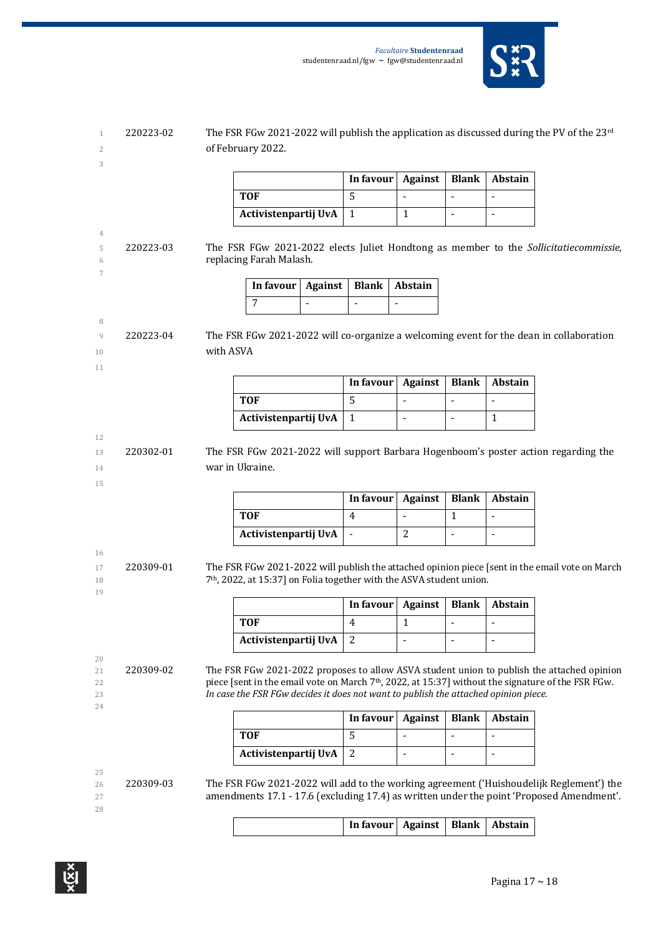

|                                     |           | The FSR FGw 2021-2022 will publish the application as discussed during the PV of the $23^{\text{rd}}$<br>of February 2022.                                                                                                                                                                          |                     |                     |                                  |                                                      |
|-------------------------------------|-----------|-----------------------------------------------------------------------------------------------------------------------------------------------------------------------------------------------------------------------------------------------------------------------------------------------------|---------------------|---------------------|----------------------------------|------------------------------------------------------|
|                                     |           |                                                                                                                                                                                                                                                                                                     | In favour           | <b>Against</b>      | <b>Blank</b>                     | Abstain                                              |
|                                     |           | <b>TOF</b>                                                                                                                                                                                                                                                                                          | 5                   |                     | $\overline{a}$                   | $\blacksquare$                                       |
|                                     |           | Activistenpartij UvA                                                                                                                                                                                                                                                                                | $\mathbf{1}$        | $\mathbf{1}$        | $\blacksquare$                   | $\overline{\phantom{a}}$                             |
| 220223-03                           |           | The FSR FGw 2021-2022 elects Juliet Hondtong as member to the Sollicitatiecommissie,<br>replacing Farah Malash.                                                                                                                                                                                     |                     |                     |                                  |                                                      |
|                                     |           | <b>Against</b><br>In favour                                                                                                                                                                                                                                                                         | <b>Blank</b>        | Abstain             |                                  |                                                      |
|                                     |           | $\overline{7}$                                                                                                                                                                                                                                                                                      | $\overline{a}$      |                     |                                  |                                                      |
| 220223-04                           | with ASVA | The FSR FGw 2021-2022 will co-organize a welcoming event for the dean in collaboration                                                                                                                                                                                                              |                     |                     |                                  |                                                      |
|                                     |           |                                                                                                                                                                                                                                                                                                     | In favour           | <b>Against</b>      | <b>Blank</b>                     | Abstain                                              |
|                                     |           | <b>TOF</b>                                                                                                                                                                                                                                                                                          | 5                   | ÷,                  | $\blacksquare$                   | $\overline{\phantom{a}}$                             |
|                                     |           | Activistenpartij UvA                                                                                                                                                                                                                                                                                | $\mathbf{1}$        | $\blacksquare$      | $\overline{a}$                   | $\mathbf{1}$                                         |
|                                     |           |                                                                                                                                                                                                                                                                                                     | In favour           | <b>Against</b>      | <b>Blank</b>                     | Abstain                                              |
|                                     |           | <b>TOF</b><br>Activistenpartij UvA<br>The FSR FGw 2021-2022 will publish the attached opinion piece [sent in the email vote on March<br>7 <sup>th</sup> , 2022, at 15:37] on Folia together with the ASVA student union.                                                                            | 4<br>$\blacksquare$ | $\overline{a}$<br>2 | $\mathbf{1}$<br>$\blacksquare$   | $\bar{\phantom{a}}$<br>$\blacksquare$                |
|                                     |           |                                                                                                                                                                                                                                                                                                     | In favour           | <b>Against</b>      | <b>Blank</b>                     | Abstain                                              |
|                                     |           | <b>TOF</b>                                                                                                                                                                                                                                                                                          | 4                   | 1                   | L,                               |                                                      |
|                                     |           | Activistenpartij UvA                                                                                                                                                                                                                                                                                | $\overline{2}$      | $\blacksquare$      | $\overline{\phantom{a}}$         | $\blacksquare$                                       |
|                                     |           | The FSR FGw 2021-2022 proposes to allow ASVA student union to publish the attached opinion<br>piece [sent in the email vote on March 7 <sup>th</sup> , 2022, at 15:37] without the signature of the FSR FGw.<br>In case the FSR FGw decides it does not want to publish the attached opinion piece. |                     |                     |                                  |                                                      |
|                                     |           |                                                                                                                                                                                                                                                                                                     | In favour           | <b>Against</b>      | <b>Blank</b>                     | Abstain                                              |
|                                     |           | <b>TOF</b>                                                                                                                                                                                                                                                                                          | 5                   | ÷                   | $\blacksquare$<br>$\blacksquare$ | $\overline{\phantom{a}}$<br>$\overline{\phantom{m}}$ |
| 220309-01<br>220309-02<br>220309-03 |           | Activistenpartij UvA<br>The FSR FGw 2021-2022 will add to the working agreement ('Huishoudelijk Reglement') the<br>amendments 17.1 - 17.6 (excluding 17.4) as written under the point 'Proposed Amendment'.                                                                                         | $\overline{c}$      |                     |                                  |                                                      |